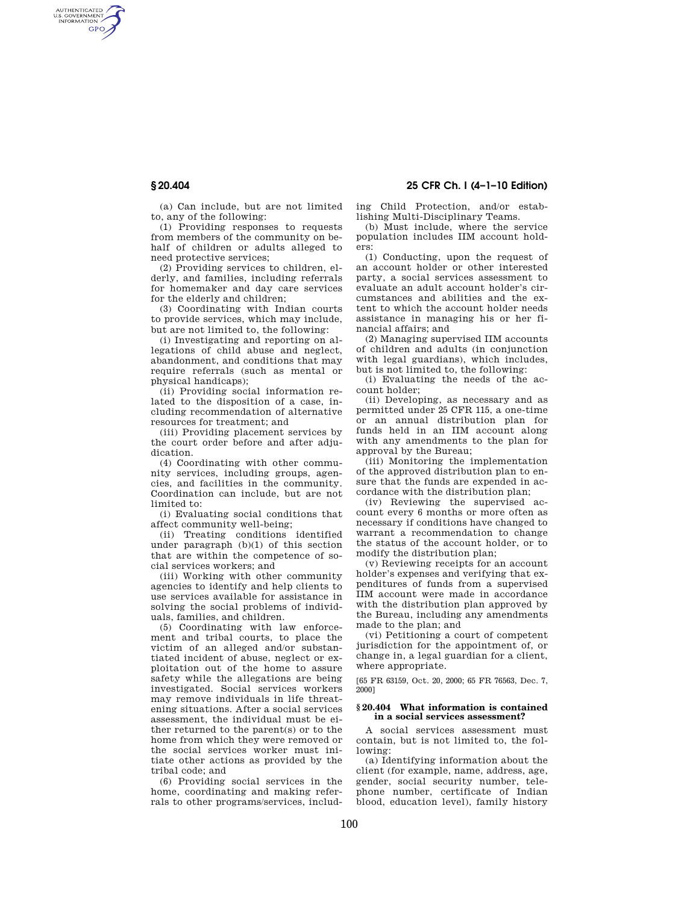AUTHENTICATED<br>U.S. GOVERNMENT<br>INFORMATION **GPO** 

**§ 20.404 25 CFR Ch. I (4–1–10 Edition)** 

(a) Can include, but are not limited to, any of the following:

(1) Providing responses to requests from members of the community on behalf of children or adults alleged to need protective services;

(2) Providing services to children, elderly, and families, including referrals for homemaker and day care services for the elderly and children;

(3) Coordinating with Indian courts to provide services, which may include, but are not limited to, the following:

(i) Investigating and reporting on allegations of child abuse and neglect abandonment, and conditions that may require referrals (such as mental or physical handicaps);

(ii) Providing social information related to the disposition of a case, including recommendation of alternative resources for treatment; and

(iii) Providing placement services by the court order before and after adjudication.

(4) Coordinating with other community services, including groups, agencies, and facilities in the community. Coordination can include, but are not limited to:

(i) Evaluating social conditions that affect community well-being;

(ii) Treating conditions identified under paragraph (b)(1) of this section that are within the competence of social services workers; and

(iii) Working with other community agencies to identify and help clients to use services available for assistance in solving the social problems of individuals, families, and children.

(5) Coordinating with law enforcement and tribal courts, to place the victim of an alleged and/or substantiated incident of abuse, neglect or exploitation out of the home to assure safety while the allegations are being investigated. Social services workers may remove individuals in life threatening situations. After a social services assessment, the individual must be either returned to the parent(s) or to the home from which they were removed or the social services worker must initiate other actions as provided by the tribal code; and

(6) Providing social services in the home, coordinating and making referrals to other programs/services, including Child Protection, and/or establishing Multi-Disciplinary Teams.

(b) Must include, where the service population includes IIM account holders:

(1) Conducting, upon the request of an account holder or other interested party, a social services assessment to evaluate an adult account holder's circumstances and abilities and the extent to which the account holder needs assistance in managing his or her financial affairs; and

(2) Managing supervised IIM accounts of children and adults (in conjunction with legal guardians), which includes, but is not limited to, the following:

(i) Evaluating the needs of the account holder;

(ii) Developing, as necessary and as permitted under 25 CFR 115, a one-time or an annual distribution plan for funds held in an IIM account along with any amendments to the plan for approval by the Bureau;

(iii) Monitoring the implementation of the approved distribution plan to ensure that the funds are expended in accordance with the distribution plan;

(iv) Reviewing the supervised account every 6 months or more often as necessary if conditions have changed to warrant a recommendation to change the status of the account holder, or to modify the distribution plan;

(v) Reviewing receipts for an account holder's expenses and verifying that expenditures of funds from a supervised IIM account were made in accordance with the distribution plan approved by the Bureau, including any amendments made to the plan; and

(vi) Petitioning a court of competent jurisdiction for the appointment of, or change in, a legal guardian for a client, where appropriate.

[65 FR 63159, Oct. 20, 2000; 65 FR 76563, Dec. 7, 2000]

### **§ 20.404 What information is contained in a social services assessment?**

A social services assessment must contain, but is not limited to, the following:

(a) Identifying information about the client (for example, name, address, age, gender, social security number, telephone number, certificate of Indian blood, education level), family history